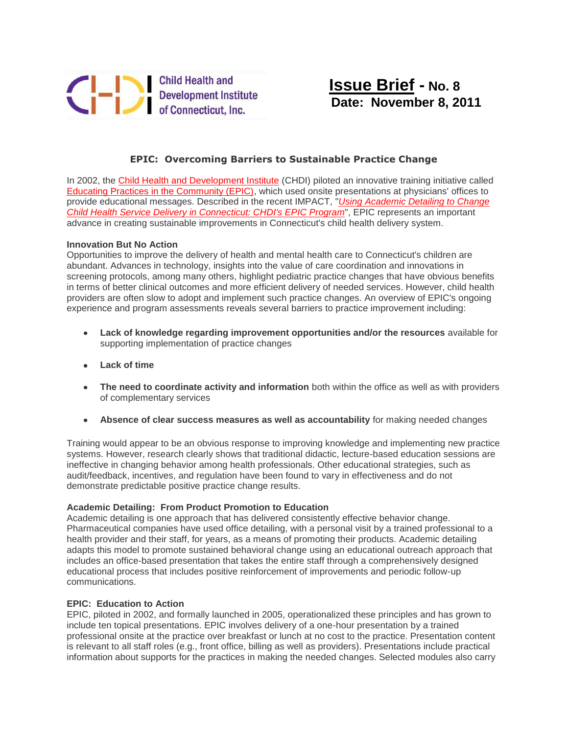

## **EPIC: Overcoming Barriers to Sustainable Practice Change**

In 2002, the [Child Health and Development Institute](http://r20.rs6.net/tn.jsp?llr=s7quz7dab&et=1108551813119&s=0&e=001_LPIV4igbOenVdHGajNf_8Oc8sodP3tukNvERYyV3gw8pBVGTV4NI-i5jSkZCeafXhy9pDCiJrgr-OMsVu6YgjCckwNczun4SmgqOyQMESo=) (CHDI) piloted an innovative training initiative called [Educating Practices in the Community \(EPIC\),](http://r20.rs6.net/tn.jsp?llr=s7quz7dab&et=1108551813119&s=0&e=001_LPIV4igbOenVdHGajNf_8Oc8sodP3tukNvERYyV3gw8pBVGTV4NI-i5jSkZCeafXhy9pDCiJrgr-OMsVu6YgjCckwNczun4tBRNYVmIqSU0cfPgyw9NK39RiKQQCj3JDx_TqsDIUGnGTOOb3iVRHg==) which used onsite presentations at physicians' offices to provide educational messages. Described in the recent IMPACT, "*[Using Academic Detailing to Change](http://r20.rs6.net/tn.jsp?llr=s7quz7dab&et=1108551813119&s=0&e=001_LPIV4igbOenVdHGajNf_8Oc8sodP3tukNvERYyV3gw8pBVGTV4NI-i5jSkZCeafXhy9pDCiJrgr-OMsVu6YgjCckwNczun4JKvJnEnbA80A2qSj1dIWKc454xvj6l4e)  [Child Health Service Delivery in Connecticut: CHDI's EPIC Program](http://r20.rs6.net/tn.jsp?llr=s7quz7dab&et=1108551813119&s=0&e=001_LPIV4igbOenVdHGajNf_8Oc8sodP3tukNvERYyV3gw8pBVGTV4NI-i5jSkZCeafXhy9pDCiJrgr-OMsVu6YgjCckwNczun4JKvJnEnbA80A2qSj1dIWKc454xvj6l4e)*", EPIC represents an important advance in creating sustainable improvements in Connecticut's child health delivery system.

## **Innovation But No Action**

Opportunities to improve the delivery of health and mental health care to Connecticut's children are abundant. Advances in technology, insights into the value of care coordination and innovations in screening protocols, among many others, highlight pediatric practice changes that have obvious benefits in terms of better clinical outcomes and more efficient delivery of needed services. However, child health providers are often slow to adopt and implement such practice changes. An overview of EPIC's ongoing experience and program assessments reveals several barriers to practice improvement including:

- **Lack of knowledge regarding improvement opportunities and/or the resources** available for supporting implementation of practice changes
- **Lack of time**
- **The need to coordinate activity and information** both within the office as well as with providers of complementary services
- **Absence of clear success measures as well as accountability** for making needed changes

Training would appear to be an obvious response to improving knowledge and implementing new practice systems. However, research clearly shows that traditional didactic, lecture-based education sessions are ineffective in changing behavior among health professionals. Other educational strategies, such as audit/feedback, incentives, and regulation have been found to vary in effectiveness and do not demonstrate predictable positive practice change results.

## **Academic Detailing: From Product Promotion to Education**

Academic detailing is one approach that has delivered consistently effective behavior change. Pharmaceutical companies have used office detailing, with a personal visit by a trained professional to a health provider and their staff, for years, as a means of promoting their products. Academic detailing adapts this model to promote sustained behavioral change using an educational outreach approach that includes an office-based presentation that takes the entire staff through a comprehensively designed educational process that includes positive reinforcement of improvements and periodic follow-up communications.

## **EPIC: Education to Action**

EPIC, piloted in 2002, and formally launched in 2005, operationalized these principles and has grown to include ten topical presentations. EPIC involves delivery of a one-hour presentation by a trained professional onsite at the practice over breakfast or lunch at no cost to the practice. Presentation content is relevant to all staff roles (e.g., front office, billing as well as providers). Presentations include practical information about supports for the practices in making the needed changes. Selected modules also carry